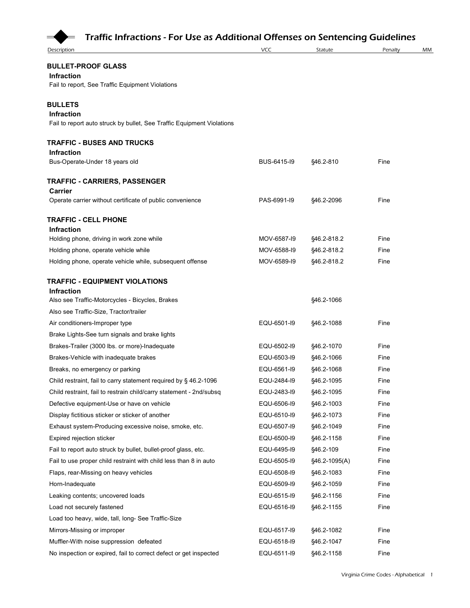

| <b>Description</b>                                                                          | VCC         | Statute       | Penalty | MM |
|---------------------------------------------------------------------------------------------|-------------|---------------|---------|----|
|                                                                                             |             |               |         |    |
| <b>BULLET-PROOF GLASS</b><br>Infraction<br>Fail to report, See Traffic Equipment Violations |             |               |         |    |
|                                                                                             |             |               |         |    |
| <b>BULLETS</b><br><b>Infraction</b>                                                         |             |               |         |    |
| Fail to report auto struck by bullet, See Traffic Equipment Violations                      |             |               |         |    |
|                                                                                             |             |               |         |    |
| TRAFFIC - BUSES AND TRUCKS                                                                  |             |               |         |    |
| <b>Infraction</b><br>Bus-Operate-Under 18 years old                                         | BUS-6415-19 | §46.2-810     | Fine    |    |
|                                                                                             |             |               |         |    |
| <b>TRAFFIC - CARRIERS, PASSENGER</b>                                                        |             |               |         |    |
| Carrier                                                                                     |             |               |         |    |
| Operate carrier without certificate of public convenience                                   | PAS-6991-I9 | §46.2-2096    | Fine    |    |
| <b>TRAFFIC - CELL PHONE</b>                                                                 |             |               |         |    |
| <b>Infraction</b>                                                                           |             |               |         |    |
| Holding phone, driving in work zone while                                                   | MOV-6587-19 | §46.2-818.2   | Fine    |    |
| Holding phone, operate vehicle while                                                        | MOV-6588-I9 | §46.2-818.2   | Fine    |    |
| Holding phone, operate vehicle while, subsequent offense                                    | MOV-6589-19 | §46.2-818.2   | Fine    |    |
| <b>TRAFFIC - EQUIPMENT VIOLATIONS</b>                                                       |             |               |         |    |
| <b>Infraction</b>                                                                           |             |               |         |    |
| Also see Traffic-Motorcycles - Bicycles, Brakes                                             |             | §46.2-1066    |         |    |
| Also see Traffic-Size, Tractor/trailer                                                      |             |               |         |    |
| Air conditioners-Improper type                                                              | EQU-6501-I9 | §46.2-1088    | Fine    |    |
| Brake Lights-See turn signals and brake lights                                              |             |               |         |    |
| Brakes-Trailer (3000 lbs. or more)-Inadequate                                               | EQU-6502-I9 | §46.2-1070    | Fine    |    |
| Brakes-Vehicle with inadequate brakes                                                       | EQU-6503-I9 | §46.2-1066    | Fine    |    |
| Breaks, no emergency or parking                                                             | EQU-6561-I9 | §46.2-1068    | Fine    |    |
| Child restraint, fail to carry statement required by § 46.2-1096                            | EQU-2484-I9 | §46.2-1095    | Fine    |    |
| Child restraint, fail to restrain child/carry statement - 2nd/subsq                         | EQU-2483-I9 | §46.2-1095    | Fine    |    |
| Defective equipment-Use or have on vehicle                                                  | EQU-6506-I9 | §46.2-1003    | Fine    |    |
| Display fictitious sticker or sticker of another                                            | EQU-6510-I9 | §46.2-1073    | Fine    |    |
| Exhaust system-Producing excessive noise, smoke, etc.                                       | EQU-6507-I9 | §46.2-1049    | Fine    |    |
| Expired rejection sticker                                                                   | EQU-6500-I9 | §46.2-1158    | Fine    |    |
| Fail to report auto struck by bullet, bullet-proof glass, etc.                              | EQU-6495-I9 | §46.2-109     | Fine    |    |
| Fail to use proper child restraint with child less than 8 in auto                           | EQU-6505-I9 | §46.2-1095(A) | Fine    |    |
| Flaps, rear-Missing on heavy vehicles                                                       | EQU-6508-I9 | §46.2-1083    | Fine    |    |
| Horn-Inadequate                                                                             | EQU-6509-I9 | §46.2-1059    | Fine    |    |
| Leaking contents; uncovered loads                                                           | EQU-6515-I9 | §46.2-1156    | Fine    |    |
| Load not securely fastened                                                                  | EQU-6516-I9 | §46.2-1155    | Fine    |    |
| Load too heavy, wide, tall, long- See Traffic-Size                                          |             |               |         |    |
| Mirrors-Missing or improper                                                                 | EQU-6517-I9 | §46.2-1082    | Fine    |    |
| Muffler-With noise suppression defeated                                                     | EQU-6518-I9 | §46.2-1047    | Fine    |    |
| No inspection or expired, fail to correct defect or get inspected                           | EQU-6511-I9 | §46.2-1158    | Fine    |    |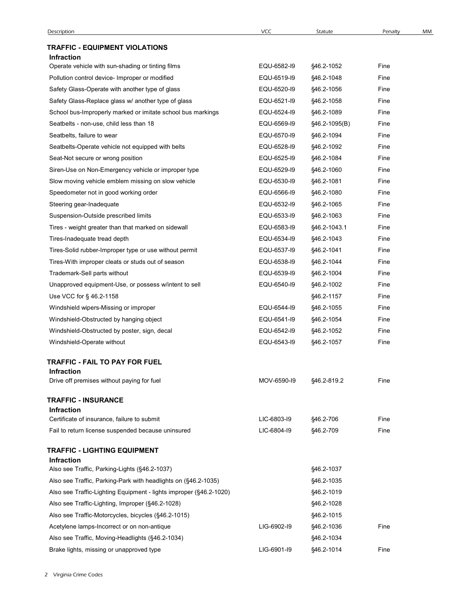## TRAFFIC - EQUIPMENT VIOLATIONS

| Description                                                                                         | <b>VCC</b>  | Statute                     | Penalty | MM |
|-----------------------------------------------------------------------------------------------------|-------------|-----------------------------|---------|----|
| <b>TRAFFIC - EQUIPMENT VIOLATIONS</b>                                                               |             |                             |         |    |
| <b>Infraction</b>                                                                                   | EQU-6582-I9 |                             | Fine    |    |
| Operate vehicle with sun-shading or tinting films<br>Pollution control device- Improper or modified | EQU-6519-I9 | §46.2-1052                  | Fine    |    |
|                                                                                                     | EQU-6520-I9 | §46.2-1048                  | Fine    |    |
| Safety Glass-Operate with another type of glass                                                     | EQU-6521-I9 | §46.2-1056                  | Fine    |    |
| Safety Glass-Replace glass w/ another type of glass                                                 | EQU-6524-I9 | §46.2-1058                  | Fine    |    |
| School bus-Improperly marked or imitate school bus markings                                         | EQU-6569-I9 | §46.2-1089                  | Fine    |    |
| Seatbelts - non-use, child less than 18<br>Seatbelts, failure to wear                               | EQU-6570-I9 | §46.2-1095(B)<br>§46.2-1094 | Fine    |    |
| Seatbelts-Operate vehicle not equipped with belts                                                   | EQU-6528-I9 | §46.2-1092                  | Fine    |    |
| Seat-Not secure or wrong position                                                                   | EQU-6525-I9 | §46.2-1084                  | Fine    |    |
| Siren-Use on Non-Emergency vehicle or improper type                                                 | EQU-6529-I9 | §46.2-1060                  | Fine    |    |
| Slow moving vehicle emblem missing on slow vehicle                                                  | EQU-6530-I9 | §46.2-1081                  | Fine    |    |
| Speedometer not in good working order                                                               | EQU-6566-I9 | §46.2-1080                  | Fine    |    |
| Steering gear-Inadequate                                                                            | EQU-6532-I9 | §46.2-1065                  | Fine    |    |
| Suspension-Outside prescribed limits                                                                | EQU-6533-I9 | §46.2-1063                  | Fine    |    |
| Tires - weight greater than that marked on sidewall                                                 | EQU-6583-I9 | §46.2-1043.1                | Fine    |    |
| Tires-Inadequate tread depth                                                                        | EQU-6534-I9 | §46.2-1043                  | Fine    |    |
| Tires-Solid rubber-Improper type or use without permit                                              | EQU-6537-I9 | §46.2-1041                  | Fine    |    |
| Tires-With improper cleats or studs out of season                                                   | EQU-6538-I9 | §46.2-1044                  | Fine    |    |
| Trademark-Sell parts without                                                                        | EQU-6539-I9 | §46.2-1004                  | Fine    |    |
| Unapproved equipment-Use, or possess w/intent to sell                                               | EQU-6540-I9 | §46.2-1002                  | Fine    |    |
| Use VCC for § 46.2-1158                                                                             |             | §46.2-1157                  | Fine    |    |
| Windshield wipers-Missing or improper                                                               | EQU-6544-I9 | §46.2-1055                  | Fine    |    |
| Windshield-Obstructed by hanging object                                                             | EQU-6541-I9 | §46.2-1054                  | Fine    |    |
| Windshield-Obstructed by poster, sign, decal                                                        | EQU-6542-I9 | §46.2-1052                  | Fine    |    |
| Windshield-Operate without                                                                          | EQU-6543-I9 | §46.2-1057                  | Fine    |    |
|                                                                                                     |             |                             |         |    |
| TRAFFIC - FAIL TO PAY FOR FUEL<br><b>Infraction</b>                                                 |             |                             |         |    |
| Drive off premises without paying for fuel                                                          | MOV-6590-I9 | §46.2-819.2                 | Fine    |    |
| <b>TRAFFIC - INSURANCE</b>                                                                          |             |                             |         |    |
| <b>Infraction</b>                                                                                   |             |                             |         |    |
| Certificate of insurance, failure to submit                                                         | LIC-6803-I9 | §46.2-706                   | Fine    |    |
| Fail to return license suspended because uninsured                                                  | LIC-6804-19 | §46.2-709                   | Fine    |    |
| <b>TRAFFIC - LIGHTING EQUIPMENT</b>                                                                 |             |                             |         |    |
| <b>Infraction</b>                                                                                   |             |                             |         |    |
| Also see Traffic, Parking-Lights (§46.2-1037)                                                       |             | §46.2-1037                  |         |    |
| Also see Traffic, Parking-Park with headlights on (§46.2-1035)                                      |             | §46.2-1035                  |         |    |
| Also see Traffic-Lighting Equipment - lights improper (§46.2-1020)                                  |             | §46.2-1019                  |         |    |
| Also see Traffic-Lighting, Improper (§46.2-1028)                                                    |             | §46.2-1028                  |         |    |
| Also see Traffic-Motorcycles, bicycles (§46.2-1015)                                                 |             | §46.2-1015                  |         |    |
| Acetylene lamps-Incorrect or on non-antique                                                         | LIG-6902-19 | §46.2-1036                  | Fine    |    |
| Also see Traffic, Moving-Headlights (§46.2-1034)                                                    |             | §46.2-1034                  |         |    |
| Brake lights, missing or unapproved type                                                            | LIG-6901-I9 | §46.2-1014                  | Fine    |    |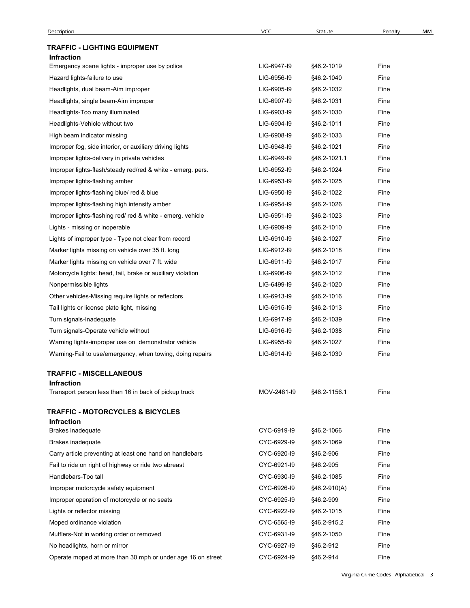| Description                                                 | VCC         | Statute      | Penalty | MМ |
|-------------------------------------------------------------|-------------|--------------|---------|----|
| <b>TRAFFIC - LIGHTING EQUIPMENT</b>                         |             |              |         |    |
| <b>Infraction</b>                                           |             |              |         |    |
| Emergency scene lights - improper use by police             | LIG-6947-19 | §46.2-1019   | Fine    |    |
| Hazard lights-failure to use                                | LIG-6956-19 | §46.2-1040   | Fine    |    |
| Headlights, dual beam-Aim improper                          | LIG-6905-19 | §46.2-1032   | Fine    |    |
| Headlights, single beam-Aim improper                        | LIG-6907-19 | §46.2-1031   | Fine    |    |
| Headlights-Too many illuminated                             | LIG-6903-19 | §46.2-1030   | Fine    |    |
| Headlights-Vehicle without two                              | LIG-6904-19 | §46.2-1011   | Fine    |    |
| High beam indicator missing                                 | LIG-6908-19 | §46.2-1033   | Fine    |    |
| Improper fog, side interior, or auxiliary driving lights    | LIG-6948-19 | §46.2-1021   | Fine    |    |
| Improper lights-delivery in private vehicles                | LIG-6949-19 | §46.2-1021.1 | Fine    |    |
| Improper lights-flash/steady red/red & white - emerg. pers. | LIG-6952-I9 | §46.2-1024   | Fine    |    |
| Improper lights-flashing amber                              | LIG-6953-19 | §46.2-1025   | Fine    |    |
| Improper lights-flashing blue/ red & blue                   | LIG-6950-I9 | §46.2-1022   | Fine    |    |
| Improper lights-flashing high intensity amber               | LIG-6954-19 | §46.2-1026   | Fine    |    |
| Improper lights-flashing red/ red & white - emerg. vehicle  | LIG-6951-I9 | §46.2-1023   | Fine    |    |
| Lights - missing or inoperable                              | LIG-6909-19 | §46.2-1010   | Fine    |    |
| Lights of improper type - Type not clear from record        | LIG-6910-I9 | §46.2-1027   | Fine    |    |
| Marker lights missing on vehicle over 35 ft. long           | LIG-6912-I9 | §46.2-1018   | Fine    |    |
| Marker lights missing on vehicle over 7 ft. wide            | LIG-6911-I9 | §46.2-1017   | Fine    |    |
| Motorcycle lights: head, tail, brake or auxiliary violation | LIG-6906-19 | §46.2-1012   | Fine    |    |
| Nonpermissible lights                                       | LIG-6499-19 | §46.2-1020   | Fine    |    |
| Other vehicles-Missing require lights or reflectors         | LIG-6913-19 | §46.2-1016   | Fine    |    |
| Tail lights or license plate light, missing                 | LIG-6915-19 | §46.2-1013   | Fine    |    |
| Turn signals-Inadequate                                     | LIG-6917-19 | §46.2-1039   | Fine    |    |
| Turn signals-Operate vehicle without                        | LIG-6916-19 | §46.2-1038   | Fine    |    |
| Warning lights-improper use on demonstrator vehicle         | LIG-6955-19 | §46.2-1027   | Fine    |    |
| Warning-Fail to use/emergency, when towing, doing repairs   | LIG-6914-19 | §46.2-1030   | Fine    |    |
| <b>TRAFFIC - MISCELLANEOUS</b>                              |             |              |         |    |
| <b>Infraction</b>                                           |             |              |         |    |
| Transport person less than 16 in back of pickup truck       | MOV-2481-I9 | §46.2-1156.1 | Fine    |    |
| <b>TRAFFIC - MOTORCYCLES &amp; BICYCLES</b>                 |             |              |         |    |
| <b>Infraction</b>                                           |             |              |         |    |
| Brakes inadequate                                           | CYC-6919-I9 | §46.2-1066   | Fine    |    |
| Brakes inadequate                                           | CYC-6929-I9 | §46.2-1069   | Fine    |    |
| Carry article preventing at least one hand on handlebars    | CYC-6920-I9 | §46.2-906    | Fine    |    |
| Fail to ride on right of highway or ride two abreast        | CYC-6921-I9 | §46.2-905    | Fine    |    |
| Handlebars-Too tall                                         | CYC-6930-I9 | §46.2-1085   | Fine    |    |
| Improper motorcycle safety equipment                        | CYC-6926-I9 | §46.2-910(A) | Fine    |    |
| Improper operation of motorcycle or no seats                | CYC-6925-I9 | §46.2-909    | Fine    |    |
| Lights or reflector missing                                 | CYC-6922-I9 | §46.2-1015   | Fine    |    |
| Moped ordinance violation                                   | CYC-6565-I9 | §46.2-915.2  | Fine    |    |
| Mufflers-Not in working order or removed                    | CYC-6931-I9 | §46.2-1050   | Fine    |    |
| No headlights, horn or mirror                               | CYC-6927-I9 | §46.2-912    | Fine    |    |
| Operate moped at more than 30 mph or under age 16 on street | CYC-6924-I9 | §46.2-914    | Fine    |    |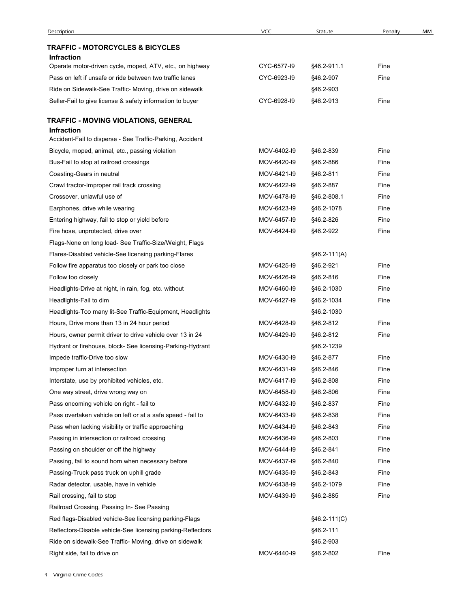| Description                                                 | <b>VCC</b>  | Statute        | Penalty | МM |
|-------------------------------------------------------------|-------------|----------------|---------|----|
| <b>TRAFFIC - MOTORCYCLES &amp; BICYCLES</b>                 |             |                |         |    |
| <b>Infraction</b>                                           |             |                |         |    |
| Operate motor-driven cycle, moped, ATV, etc., on highway    | CYC-6577-19 | §46.2-911.1    | Fine    |    |
| Pass on left if unsafe or ride between two traffic lanes    | CYC-6923-I9 | §46.2-907      | Fine    |    |
| Ride on Sidewalk-See Traffic- Moving, drive on sidewalk     |             | §46.2-903      |         |    |
| Seller-Fail to give license & safety information to buyer   | CYC-6928-I9 | §46.2-913      | Fine    |    |
| TRAFFIC - MOVING VIOLATIONS, GENERAL<br><b>Infraction</b>   |             |                |         |    |
| Accident-Fail to disperse - See Traffic-Parking, Accident   |             |                |         |    |
| Bicycle, moped, animal, etc., passing violation             | MOV-6402-I9 | §46.2-839      | Fine    |    |
| Bus-Fail to stop at railroad crossings                      | MOV-6420-I9 | §46.2-886      | Fine    |    |
| Coasting-Gears in neutral                                   | MOV-6421-I9 | §46.2-811      | Fine    |    |
| Crawl tractor-Improper rail track crossing                  | MOV-6422-I9 | §46.2-887      | Fine    |    |
| Crossover, unlawful use of                                  | MOV-6478-I9 | §46.2-808.1    | Fine    |    |
| Earphones, drive while wearing                              | MOV-6423-19 | §46.2-1078     | Fine    |    |
| Entering highway, fail to stop or yield before              | MOV-6457-19 | §46.2-826      | Fine    |    |
| Fire hose, unprotected, drive over                          | MOV-6424-I9 | §46.2-922      | Fine    |    |
| Flags-None on long load- See Traffic-Size/Weight, Flags     |             |                |         |    |
| Flares-Disabled vehicle-See licensing parking-Flares        |             | $$46.2-111(A)$ |         |    |
| Follow fire apparatus too closely or park too close         | MOV-6425-19 | §46.2-921      | Fine    |    |
| Follow too closely                                          | MOV-6426-I9 | §46.2-816      | Fine    |    |
| Headlights-Drive at night, in rain, fog, etc. without       | MOV-6460-I9 | §46.2-1030     | Fine    |    |
| Headlights-Fail to dim                                      | MOV-6427-I9 | §46.2-1034     | Fine    |    |
| Headlights-Too many lit-See Traffic-Equipment, Headlights   |             | §46.2-1030     |         |    |
| Hours, Drive more than 13 in 24 hour period                 | MOV-6428-I9 | §46.2-812      | Fine    |    |
| Hours, owner permit driver to drive vehicle over 13 in 24   | MOV-6429-19 | §46.2-812      | Fine    |    |
| Hydrant or firehouse, block- See licensing-Parking-Hydrant  |             | §46.2-1239     |         |    |
| Impede traffic-Drive too slow                               | MOV-6430-I9 | §46.2-877      | Fine    |    |
| Improper turn at intersection                               | MOV-6431-I9 | §46.2-846      | Fine    |    |
| Interstate, use by prohibited vehicles, etc.                | MOV-6417-19 | §46.2-808      | Fine    |    |
| One way street, drive wrong way on                          | MOV-6458-19 | §46.2-806      | Fine    |    |
| Pass oncoming vehicle on right - fail to                    | MOV-6432-I9 | §46.2-837      | Fine    |    |
| Pass overtaken vehicle on left or at a safe speed - fail to | MOV-6433-I9 | §46.2-838      | Fine    |    |
| Pass when lacking visibility or traffic approaching         | MOV-6434-19 | §46.2-843      | Fine    |    |
| Passing in intersection or railroad crossing                | MOV-6436-19 | §46.2-803      | Fine    |    |
| Passing on shoulder or off the highway                      | MOV-6444-19 | §46.2-841      | Fine    |    |
| Passing, fail to sound horn when necessary before           | MOV-6437-19 | §46.2-840      | Fine    |    |
| Passing-Truck pass truck on uphill grade                    | MOV-6435-I9 | §46.2-843      | Fine    |    |
| Radar detector, usable, have in vehicle                     | MOV-6438-I9 | §46.2-1079     | Fine    |    |
| Rail crossing, fail to stop                                 | MOV-6439-I9 | §46.2-885      | Fine    |    |
| Railroad Crossing, Passing In- See Passing                  |             |                |         |    |
| Red flags-Disabled vehicle-See licensing parking-Flags      |             | $§46.2-111(C)$ |         |    |
| Reflectors-Disable vehicle-See licensing parking-Reflectors |             | §46.2-111      |         |    |
| Ride on sidewalk-See Traffic- Moving, drive on sidewalk     |             | §46.2-903      |         |    |
| Right side, fail to drive on                                | MOV-6440-I9 | §46.2-802      | Fine    |    |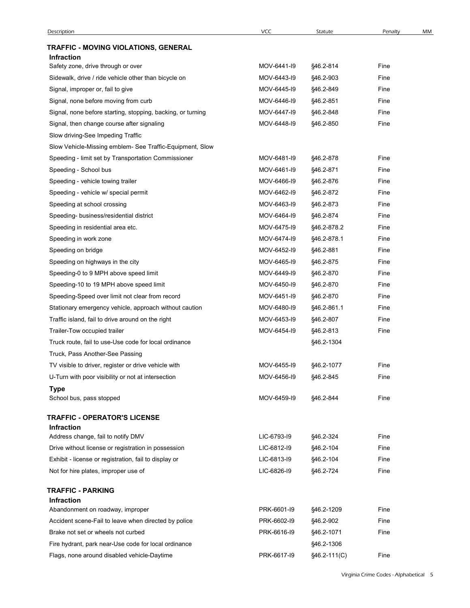| Description                                                                     | <b>VCC</b>  | Statute      | Penalty | МM |
|---------------------------------------------------------------------------------|-------------|--------------|---------|----|
| TRAFFIC - MOVING VIOLATIONS, GENERAL                                            |             |              |         |    |
| Infraction                                                                      |             |              |         |    |
| Safety zone, drive through or over                                              | MOV-6441-I9 | §46.2-814    | Fine    |    |
| Sidewalk, drive / ride vehicle other than bicycle on                            | MOV-6443-19 | §46.2-903    | Fine    |    |
| Signal, improper or, fail to give                                               | MOV-6445-19 | §46.2-849    | Fine    |    |
| Signal, none before moving from curb                                            | MOV-6446-I9 | §46.2-851    | Fine    |    |
| Signal, none before starting, stopping, backing, or turning                     | MOV-6447-19 | §46.2-848    | Fine    |    |
| Signal, then change course after signaling<br>Slow driving-See Impeding Traffic | MOV-6448-I9 | §46.2-850    | Fine    |    |
| Slow Vehicle-Missing emblem- See Traffic-Equipment, Slow                        |             |              |         |    |
| Speeding - limit set by Transportation Commissioner                             | MOV-6481-I9 | §46.2-878    | Fine    |    |
| Speeding - School bus                                                           | MOV-6461-I9 | §46.2-871    | Fine    |    |
| Speeding - vehicle towing trailer                                               | MOV-6466-I9 | §46.2-876    | Fine    |    |
| Speeding - vehicle w/ special permit                                            | MOV-6462-I9 | §46.2-872    | Fine    |    |
| Speeding at school crossing                                                     | MOV-6463-I9 | §46.2-873    | Fine    |    |
| Speeding- business/residential district                                         | MOV-6464-19 | §46.2-874    | Fine    |    |
| Speeding in residential area etc.                                               | MOV-6475-19 | §46.2-878.2  | Fine    |    |
| Speeding in work zone                                                           | MOV-6474-I9 | §46.2-878.1  | Fine    |    |
| Speeding on bridge                                                              | MOV-6452-I9 | §46.2-881    | Fine    |    |
| Speeding on highways in the city                                                | MOV-6465-19 | §46.2-875    | Fine    |    |
| Speeding-0 to 9 MPH above speed limit                                           | MOV-6449-19 | §46.2-870    | Fine    |    |
| Speeding-10 to 19 MPH above speed limit                                         | MOV-6450-I9 | §46.2-870    | Fine    |    |
| Speeding-Speed over limit not clear from record                                 | MOV-6451-I9 | §46.2-870    | Fine    |    |
| Stationary emergency vehicle, approach without caution                          | MOV-6480-I9 | §46.2-861.1  | Fine    |    |
| Traffic island, fail to drive around on the right                               | MOV-6453-I9 | §46.2-807    | Fine    |    |
| Trailer-Tow occupied trailer                                                    | MOV-6454-I9 | §46.2-813    | Fine    |    |
| Truck route, fail to use-Use code for local ordinance                           |             | §46.2-1304   |         |    |
| Truck, Pass Another-See Passing                                                 |             |              |         |    |
| TV visible to driver, register or drive vehicle with                            | MOV-6455-19 | §46.2-1077   | Fine    |    |
| U-Turn with poor visibility or not at intersection                              | MOV-6456-I9 | §46.2-845    | Fine    |    |
| <b>Type</b>                                                                     |             |              |         |    |
| School bus, pass stopped                                                        | MOV-6459-19 | §46.2-844    | Fine    |    |
| <b>TRAFFIC - OPERATOR'S LICENSE</b>                                             |             |              |         |    |
| Infraction                                                                      |             |              |         |    |
| Address change, fail to notify DMV                                              | LIC-6793-19 | §46.2-324    | Fine    |    |
| Drive without license or registration in possession                             | LIC-6812-I9 | §46.2-104    | Fine    |    |
| Exhibit - license or registration, fail to display or                           | LIC-6813-19 | §46.2-104    | Fine    |    |
| Not for hire plates, improper use of                                            | LIC-6826-19 | §46.2-724    | Fine    |    |
|                                                                                 |             |              |         |    |
| <b>TRAFFIC - PARKING</b><br>Infraction                                          |             |              |         |    |
| Abandonment on roadway, improper                                                | PRK-6601-I9 | §46.2-1209   | Fine    |    |
| Accident scene-Fail to leave when directed by police                            | PRK-6602-I9 | §46.2-902    | Fine    |    |
| Brake not set or wheels not curbed                                              | PRK-6616-I9 | §46.2-1071   | Fine    |    |
| Fire hydrant, park near-Use code for local ordinance                            |             | §46.2-1306   |         |    |
| Flags, none around disabled vehicle-Daytime                                     | PRK-6617-I9 | §46.2-111(C) | Fine    |    |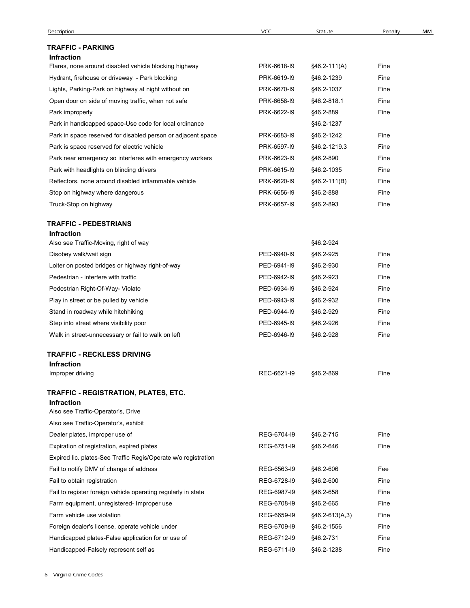| Description                                                    | <b>VCC</b>  | Statute          | Penalty | МM |
|----------------------------------------------------------------|-------------|------------------|---------|----|
| <b>TRAFFIC - PARKING</b>                                       |             |                  |         |    |
| <b>Infraction</b>                                              |             |                  |         |    |
| Flares, none around disabled vehicle blocking highway          | PRK-6618-I9 | §46.2-111(A)     | Fine    |    |
| Hydrant, firehouse or driveway - Park blocking                 | PRK-6619-19 | §46.2-1239       | Fine    |    |
| Lights, Parking-Park on highway at night without on            | PRK-6670-I9 | §46.2-1037       | Fine    |    |
| Open door on side of moving traffic, when not safe             | PRK-6658-I9 | §46.2-818.1      | Fine    |    |
| Park improperly                                                | PRK-6622-I9 | §46.2-889        | Fine    |    |
| Park in handicapped space-Use code for local ordinance         |             | §46.2-1237       |         |    |
| Park in space reserved for disabled person or adjacent space   | PRK-6683-I9 | §46.2-1242       | Fine    |    |
| Park is space reserved for electric vehicle                    | PRK-6597-19 | §46.2-1219.3     | Fine    |    |
| Park near emergency so interferes with emergency workers       | PRK-6623-I9 | §46.2-890        | Fine    |    |
| Park with headlights on blinding drivers                       | PRK-6615-I9 | §46.2-1035       | Fine    |    |
| Reflectors, none around disabled inflammable vehicle           | PRK-6620-I9 | §46.2-111(B)     | Fine    |    |
| Stop on highway where dangerous                                | PRK-6656-19 | §46.2-888        | Fine    |    |
| Truck-Stop on highway                                          | PRK-6657-I9 | §46.2-893        | Fine    |    |
| <b>TRAFFIC - PEDESTRIANS</b>                                   |             |                  |         |    |
| <b>Infraction</b>                                              |             |                  |         |    |
| Also see Traffic-Moving, right of way                          |             | §46.2-924        |         |    |
| Disobey walk/wait sign                                         | PED-6940-I9 | §46.2-925        | Fine    |    |
| Loiter on posted bridges or highway right-of-way               | PED-6941-I9 | §46.2-930        | Fine    |    |
| Pedestrian - interfere with traffic                            | PED-6942-I9 | §46.2-923        | Fine    |    |
| Pedestrian Right-Of-Way- Violate                               | PED-6934-I9 | §46.2-924        | Fine    |    |
| Play in street or be pulled by vehicle                         | PED-6943-I9 | §46.2-932        | Fine    |    |
| Stand in roadway while hitchhiking                             | PED-6944-19 | §46.2-929        | Fine    |    |
| Step into street where visibility poor                         | PED-6945-I9 | §46.2-926        | Fine    |    |
| Walk in street-unnecessary or fail to walk on left             | PED-6946-I9 | §46.2-928        | Fine    |    |
| <b>TRAFFIC - RECKLESS DRIVING</b>                              |             |                  |         |    |
| <b>Infraction</b><br>Improper driving                          | REC-6621-I9 | §46.2-869        | Fine    |    |
|                                                                |             |                  |         |    |
| TRAFFIC - REGISTRATION, PLATES, ETC.                           |             |                  |         |    |
| <b>Infraction</b><br>Also see Traffic-Operator's, Drive        |             |                  |         |    |
| Also see Traffic-Operator's, exhibit                           |             |                  |         |    |
| Dealer plates, improper use of                                 | REG-6704-I9 | §46.2-715        | Fine    |    |
| Expiration of registration, expired plates                     | REG-6751-I9 | §46.2-646        | Fine    |    |
| Expired lic. plates-See Traffic Regis/Operate w/o registration |             |                  |         |    |
| Fail to notify DMV of change of address                        | REG-6563-I9 | §46.2-606        | Fee     |    |
| Fail to obtain registration                                    | REG-6728-I9 | §46.2-600        | Fine    |    |
| Fail to register foreign vehicle operating regularly in state  | REG-6987-19 | §46.2-658        | Fine    |    |
| Farm equipment, unregistered- Improper use                     | REG-6708-I9 | §46.2-665        | Fine    |    |
| Farm vehicle use violation                                     | REG-6659-I9 | $§46.2-613(A,3)$ | Fine    |    |
| Foreign dealer's license, operate vehicle under                | REG-6709-I9 | §46.2-1556       | Fine    |    |
| Handicapped plates-False application for or use of             | REG-6712-I9 | §46.2-731        | Fine    |    |
|                                                                |             |                  |         |    |
| Handicapped-Falsely represent self as                          | REG-6711-I9 | §46.2-1238       | Fine    |    |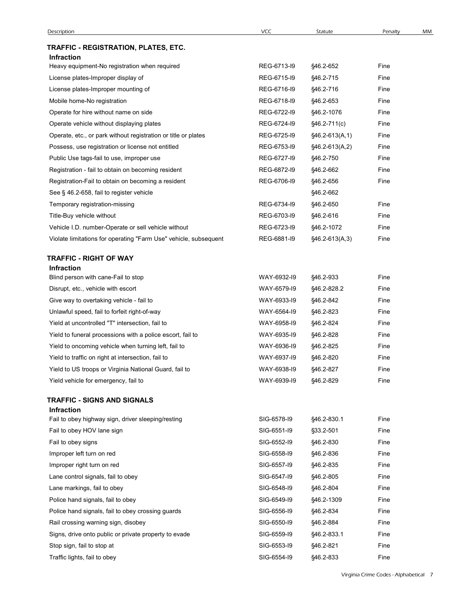| <b>Description</b>                                               | <b>VCC</b>  | Statute          | Penalty | МM |
|------------------------------------------------------------------|-------------|------------------|---------|----|
| TRAFFIC - REGISTRATION, PLATES, ETC.                             |             |                  |         |    |
| Infraction                                                       |             |                  |         |    |
| Heavy equipment-No registration when required                    | REG-6713-I9 | §46.2-652        | Fine    |    |
| License plates-Improper display of                               | REG-6715-I9 | §46.2-715        | Fine    |    |
| License plates-Improper mounting of                              | REG-6716-I9 | §46.2-716        | Fine    |    |
| Mobile home-No registration                                      | REG-6718-I9 | §46.2-653        | Fine    |    |
| Operate for hire without name on side                            | REG-6722-I9 | §46.2-1076       | Fine    |    |
| Operate vehicle without displaying plates                        | REG-6724-I9 | §46.2-711(c)     | Fine    |    |
| Operate, etc., or park without registration or title or plates   | REG-6725-I9 | §46.2-613(A,1)   | Fine    |    |
| Possess, use registration or license not entitled                | REG-6753-I9 | §46.2-613(A,2)   | Fine    |    |
| Public Use tags-fail to use, improper use                        | REG-6727-19 | §46.2-750        | Fine    |    |
| Registration - fail to obtain on becoming resident               | REG-6872-I9 | §46.2-662        | Fine    |    |
| Registration-Fail to obtain on becoming a resident               | REG-6706-I9 | §46.2-656        | Fine    |    |
| See § 46.2-658, fail to register vehicle                         |             | §46.2-662        |         |    |
| Temporary registration-missing                                   | REG-6734-I9 | §46.2-650        | Fine    |    |
| Title-Buy vehicle without                                        | REG-6703-I9 | §46.2-616        | Fine    |    |
| Vehicle I.D. number-Operate or sell vehicle without              | REG-6723-I9 | §46.2-1072       | Fine    |    |
| Violate limitations for operating "Farm Use" vehicle, subsequent | REG-6881-I9 | $§46.2-613(A,3)$ | Fine    |    |
| <b>TRAFFIC - RIGHT OF WAY</b>                                    |             |                  |         |    |
| <b>Infraction</b>                                                |             |                  |         |    |
| Blind person with cane-Fail to stop                              | WAY-6932-I9 | §46.2-933        | Fine    |    |
| Disrupt, etc., vehicle with escort                               | WAY-6579-I9 | §46.2-828.2      | Fine    |    |
| Give way to overtaking vehicle - fail to                         | WAY-6933-I9 | §46.2-842        | Fine    |    |
| Unlawful speed, fail to forfeit right-of-way                     | WAY-6564-I9 | §46.2-823        | Fine    |    |
| Yield at uncontrolled "T" intersection, fail to                  | WAY-6958-I9 | §46.2-824        | Fine    |    |
| Yield to funeral processions with a police escort, fail to       | WAY-6935-19 | §46.2-828        | Fine    |    |
| Yield to oncoming vehicle when turning left, fail to             | WAY-6936-I9 | §46.2-825        | Fine    |    |
| Yield to traffic on right at intersection, fail to               | WAY-6937-19 | §46.2-820        | Fine    |    |
| Yield to US troops or Virginia National Guard, fail to           | WAY-6938-I9 | §46.2-827        | Fine    |    |
| Yield vehicle for emergency, fail to                             | WAY-6939-19 | §46.2-829        | Fine    |    |
| <b>TRAFFIC - SIGNS AND SIGNALS</b>                               |             |                  |         |    |
| <b>Infraction</b>                                                |             |                  |         |    |
| Fail to obey highway sign, driver sleeping/resting               | SIG-6578-I9 | §46.2-830.1      | Fine    |    |
| Fail to obey HOV lane sign                                       | SIG-6551-I9 | §33.2-501        | Fine    |    |
| Fail to obey signs                                               | SIG-6552-I9 | §46.2-830        | Fine    |    |
| Improper left turn on red                                        | SIG-6558-19 | §46.2-836        | Fine    |    |
| Improper right turn on red                                       | SIG-6557-19 | §46.2-835        | Fine    |    |
| Lane control signals, fail to obey                               | SIG-6547-19 | §46.2-805        | Fine    |    |
| Lane markings, fail to obey                                      | SIG-6548-I9 | §46.2-804        | Fine    |    |
| Police hand signals, fail to obey                                | SIG-6549-I9 | §46.2-1309       | Fine    |    |
| Police hand signals, fail to obey crossing guards                | SIG-6556-19 | §46.2-834        | Fine    |    |
| Rail crossing warning sign, disobey                              | SIG-6550-19 | §46.2-884        | Fine    |    |
| Signs, drive onto public or private property to evade            | SIG-6559-19 | §46.2-833.1      | Fine    |    |
| Stop sign, fail to stop at                                       | SIG-6553-19 | §46.2-821        | Fine    |    |
| Traffic lights, fail to obey                                     | SIG-6554-19 | §46.2-833        | Fine    |    |